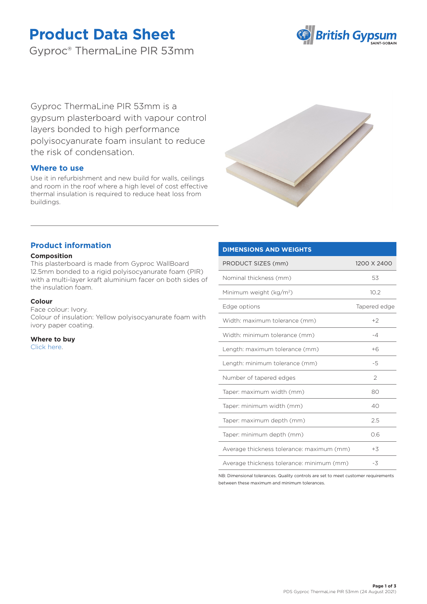# **Product Data Sheet**

Gyproc® ThermaLine PIR 53mm



Gyproc ThermaLine PIR 53mm is a gypsum plasterboard with vapour control layers bonded to high performance polyisocyanurate foam insulant to reduce the risk of condensation.

## **Where to use**

Use it in refurbishment and new build for walls, ceilings and room in the roof where a high level of cost effective thermal insulation is required to reduce heat loss from buildings.



## **Product information**

## **Composition**

This plasterboard is made from Gyproc WallBoard 12.5mm bonded to a rigid polyisocyanurate foam (PIR) with a multi-layer kraft aluminium facer on both sides of the insulation foam.

#### **Colour**

Face colour: Ivory. Colour of insulation: Yellow polyisocyanurate foam with ivory paper coating.

**Where to buy** [Click here.](https://www.british-gypsum.com/stockist-locator)

## **DIMENSIONS AND WEIGHTS**

| PRODUCT SIZES (mm)                        | 1200 X 2400   |
|-------------------------------------------|---------------|
| Nominal thickness (mm)                    | 53            |
| Minimum weight (kg/m <sup>2</sup> )       | 10.2          |
| Edge options                              | Tapered edge  |
| Width: maximum tolerance (mm)             | $+2$          |
| Width: minimum tolerance (mm)             | -4            |
| Length: maximum tolerance (mm)            | $+6$          |
| Length: minimum tolerance (mm)            | $-5$          |
| Number of tapered edges                   | $\mathcal{P}$ |
| Taper: maximum width (mm)                 | 80            |
| Taper: minimum width (mm)                 | 40            |
| Taper: maximum depth (mm)                 | 2.5           |
| Taper: minimum depth (mm)                 | 0.6           |
| Average thickness tolerance: maximum (mm) | $+3$          |
| Average thickness tolerance: minimum (mm) | -3            |

NB: Dimensional tolerances. Quality controls are set to meet customer requirements between these maximum and minimum tolerances.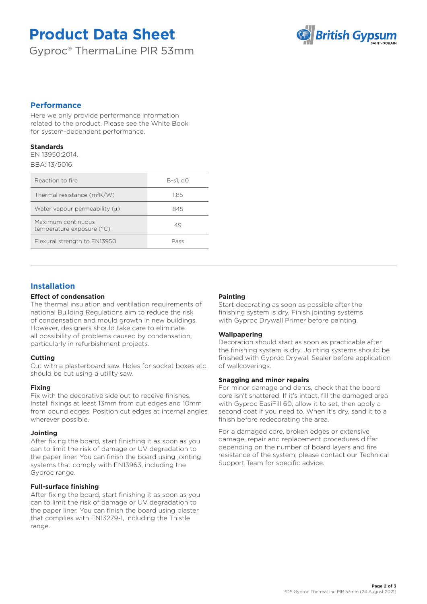# **Product Data Sheet**

Gyproc® ThermaLine PIR 53mm



## **Performance**

Here we only provide performance information related to the product. Please see the White Book for system-dependent performance.

## **Standards**

EN 13950:2014. BBA: 13/5016.

| Reaction to fire                                | B-s1. d0 |
|-------------------------------------------------|----------|
| Thermal resistance $(m^2K/W)$                   | 1.85     |
| Water vapour permeability $(u)$                 | 845      |
| Maximum continuous<br>temperature exposure (°C) | 49       |
| Flexural strength to EN13950                    | Pass     |

## **Installation**

## **Effect of condensation**

The thermal insulation and ventilation requirements of national Building Regulations aim to reduce the risk of condensation and mould growth in new buildings. However, designers should take care to eliminate all possibility of problems caused by condensation, particularly in refurbishment projects.

## **Cutting**

Cut with a plasterboard saw. Holes for socket boxes etc. should be cut using a utility saw.

## **Fixing**

Fix with the decorative side out to receive finishes. Install fixings at least 13mm from cut edges and 10mm from bound edges. Position cut edges at internal angles wherever possible.

## **Jointing**

After fixing the board, start finishing it as soon as you can to limit the risk of damage or UV degradation to the paper liner. You can finish the board using jointing systems that comply with EN13963, including the Gyproc range.

## **Full-surface finishing**

After fixing the board, start finishing it as soon as you can to limit the risk of damage or UV degradation to the paper liner. You can finish the board using plaster that complies with EN13279-1, including the Thistle range.

## **Painting**

Start decorating as soon as possible after the finishing system is dry. Finish jointing systems with Gyproc Drywall Primer before painting.

## **Wallpapering**

Decoration should start as soon as practicable after the finishing system is dry. Jointing systems should be finished with Gyproc Drywall Sealer before application of wallcoverings.

## **Snagging and minor repairs**

For minor damage and dents, check that the board core isn't shattered. If it's intact, fill the damaged area with Gyproc EasiFill 60, allow it to set, then apply a second coat if you need to. When it's dry, sand it to a finish before redecorating the area.

For a damaged core, broken edges or extensive damage, repair and replacement procedures differ depending on the number of board layers and fire resistance of the system; please contact our Technical Support Team for specific advice.